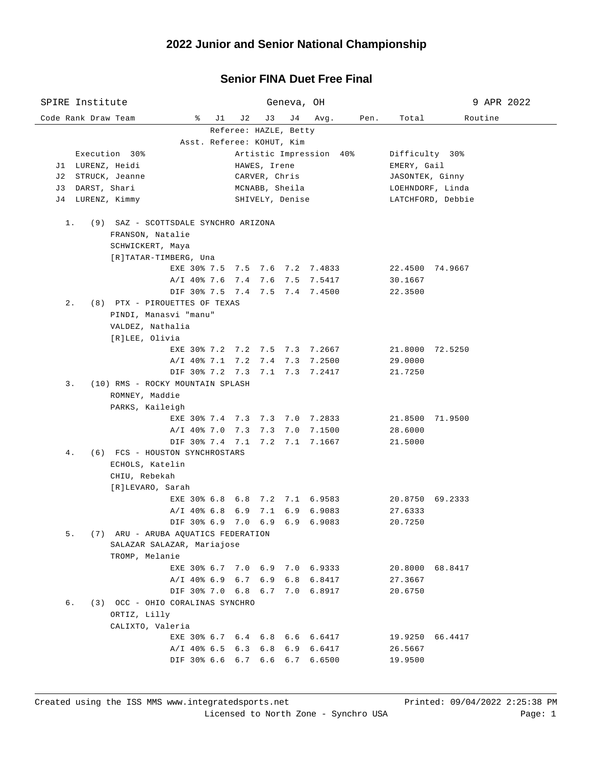## **Senior FINA Duet Free Final**

| SPIRE Institute<br>Geneva, OH                                     |                                   |                       | 9 APR 2022 |                |                 |                                     |  |
|-------------------------------------------------------------------|-----------------------------------|-----------------------|------------|----------------|-----------------|-------------------------------------|--|
| Code Rank Draw Team                                               | ိ<br>J1                           | J 2<br>J3             | J 4        | Avg.           | Pen.<br>Total   | Routine                             |  |
|                                                                   |                                   | Referee: HAZLE, Betty |            |                |                 |                                     |  |
|                                                                   | Asst. Referee: KOHUT, Kim         |                       |            |                |                 |                                     |  |
| Execution 30%<br>Artistic Impression 40%                          |                                   |                       |            |                |                 | Difficulty 30%<br>EMERY, Gail       |  |
|                                                                   | J1 LURENZ, Heidi<br>HAWES, Irene  |                       |            |                |                 |                                     |  |
| J2 STRUCK, Jeanne<br>J3 DARST, Shari                              | CARVER, Chris                     |                       |            |                |                 | JASONTEK, Ginny<br>LOEHNDORF, Linda |  |
| J4 LURENZ, Kimmy                                                  | MCNABB, Sheila<br>SHIVELY, Denise |                       |            |                |                 | LATCHFORD, Debbie                   |  |
|                                                                   |                                   |                       |            |                |                 |                                     |  |
| $1$ .<br>(9) SAZ - SCOTTSDALE SYNCHRO ARIZONA<br>FRANSON, Natalie |                                   |                       |            |                |                 |                                     |  |
| SCHWICKERT, Maya                                                  |                                   |                       |            |                |                 |                                     |  |
| [R]TATAR-TIMBERG, Una                                             |                                   |                       |            |                |                 |                                     |  |
|                                                                   | EXE 30% 7.5 7.5 7.6 7.2 7.4833    |                       |            |                |                 | 22.4500 74.9667                     |  |
|                                                                   | A/I 40% 7.6 7.4 7.6 7.5 7.5417    |                       |            |                | 30.1667         |                                     |  |
|                                                                   | DIF 30% 7.5 7.4 7.5 7.4 7.4500    |                       |            |                | 22.3500         |                                     |  |
| $2$ .<br>(8) PTX - PIROUETTES OF TEXAS                            |                                   |                       |            |                |                 |                                     |  |
| PINDI, Manasvi "manu"                                             |                                   |                       |            |                |                 |                                     |  |
| VALDEZ, Nathalia                                                  |                                   |                       |            |                |                 |                                     |  |
| [R]LEE, Olivia                                                    | EXE 30% 7.2 7.2 7.5 7.3 7.2667    |                       |            |                |                 | 21.8000 72.5250                     |  |
|                                                                   | A/I 40% 7.1 7.2 7.4 7.3 7.2500    |                       |            |                | 29.0000         |                                     |  |
|                                                                   | DIF 30% 7.2 7.3 7.1 7.3 7.2417    |                       |            |                | 21.7250         |                                     |  |
| 3.<br>(10) RMS - ROCKY MOUNTAIN SPLASH                            |                                   |                       |            |                |                 |                                     |  |
| ROMNEY, Maddie                                                    |                                   |                       |            |                |                 |                                     |  |
| PARKS, Kaileigh                                                   |                                   |                       |            |                |                 |                                     |  |
|                                                                   | EXE 30% 7.4 7.3 7.3 7.0 7.2833    |                       |            |                |                 | 21.8500 71.9500                     |  |
|                                                                   | A/I 40% 7.0 7.3 7.3 7.0 7.1500    |                       |            |                | 28.6000         |                                     |  |
|                                                                   | DIF 30% 7.4 7.1 7.2 7.1 7.1667    |                       |            |                | 21.5000         |                                     |  |
| (6) FCS - HOUSTON SYNCHROSTARS<br>4.                              |                                   |                       |            |                |                 |                                     |  |
| ECHOLS, Katelin                                                   |                                   |                       |            |                |                 |                                     |  |
| CHIU, Rebekah<br>[R]LEVARO, Sarah                                 |                                   |                       |            |                |                 |                                     |  |
|                                                                   | EXE 30% 6.8 6.8 7.2 7.1 6.9583    |                       |            |                |                 | 20.8750 69.2333                     |  |
|                                                                   | $A/I$ 40% 6.8 6.9 7.1             |                       |            | $6.9$ $6.9083$ | 27.6333         |                                     |  |
|                                                                   | DIF 30% 6.9 7.0 6.9 6.9 6.9083    |                       |            |                | 20.7250         |                                     |  |
| 5.<br>(7) ARU - ARUBA AQUATICS FEDERATION                         |                                   |                       |            |                |                 |                                     |  |
| SALAZAR SALAZAR, Mariajose                                        |                                   |                       |            |                |                 |                                     |  |
| TROMP, Melanie                                                    |                                   |                       |            |                |                 |                                     |  |
|                                                                   | EXE 30% 6.7 7.0 6.9 7.0 6.9333    |                       |            |                |                 | 20.8000 68.8417                     |  |
|                                                                   | $A/I$ 40% 6.9 6.7 6.9             |                       |            | 6.8 6.8417     | 27.3667         |                                     |  |
|                                                                   | DIF 30% 7.0 6.8 6.7 7.0 6.8917    |                       |            |                | 20.6750         |                                     |  |
| б.<br>(3) OCC - OHIO CORALINAS SYNCHRO                            |                                   |                       |            |                |                 |                                     |  |
| ORTIZ, Lilly<br>CALIXTO, Valeria                                  |                                   |                       |            |                |                 |                                     |  |
|                                                                   | EXE 30% 6.7 6.4 6.8 6.6 6.6417    |                       |            |                | 19.9250 66.4417 |                                     |  |
|                                                                   | $A/I$ 40% 6.5 6.3 6.8             |                       |            | $6.9$ $6.6417$ | 26.5667         |                                     |  |
|                                                                   | DIF 30% 6.6 6.7 6.6 6.7           |                       |            | 6.6500         | 19.9500         |                                     |  |
|                                                                   |                                   |                       |            |                |                 |                                     |  |